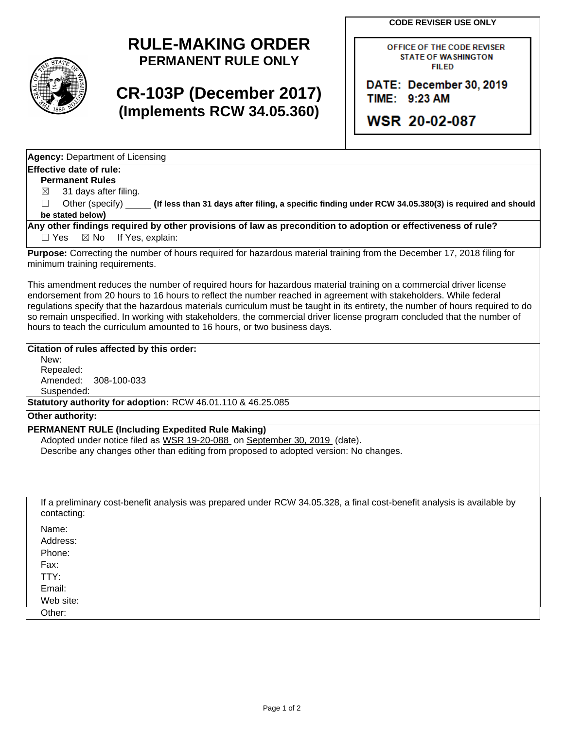**CODE REVISER USE ONLY**



## **RULE-MAKING ORDER PERMANENT RULE ONLY**

# **CR-103P (December 2017) (Implements RCW 34.05.360)**

OFFICE OF THE CODE REVISER **STATE OF WASHINGTON FILED** 

DATE: December 30, 2019 TIME: 9:23 AM

**WSR 20-02-087** 

**Agency:** Department of Licensing

## **Effective date of rule:**

**Permanent Rules**

 $\boxtimes$  31 days after filing.

☐ Other (specify) **(If less than 31 days after filing, a specific finding under RCW 34.05.380(3) is required and should be stated below)**

**Any other findings required by other provisions of law as precondition to adoption or effectiveness of rule?** □ Yes ⊠ No If Yes, explain:

**Purpose:** Correcting the number of hours required for hazardous material training from the December 17, 2018 filing for minimum training requirements.

This amendment reduces the number of required hours for hazardous material training on a commercial driver license endorsement from 20 hours to 16 hours to reflect the number reached in agreement with stakeholders. While federal regulations specify that the hazardous materials curriculum must be taught in its entirety, the number of hours required to do so remain unspecified. In working with stakeholders, the commercial driver license program concluded that the number of hours to teach the curriculum amounted to 16 hours, or two business days.

## **Citation of rules affected by this order:**

New: Repealed: Amended: 308-100-033 Suspended:

**Statutory authority for adoption:** RCW 46.01.110 & 46.25.085

### **Other authority:**

### **PERMANENT RULE (Including Expedited Rule Making)**

Adopted under notice filed as WSR 19-20-088 on September 30, 2019 (date). Describe any changes other than editing from proposed to adopted version: No changes.

If a preliminary cost-benefit analysis was prepared under RCW 34.05.328, a final cost-benefit analysis is available by contacting:

Name: Address:

Phone:

Fax: TTY:

Email:

Web site:

Other: